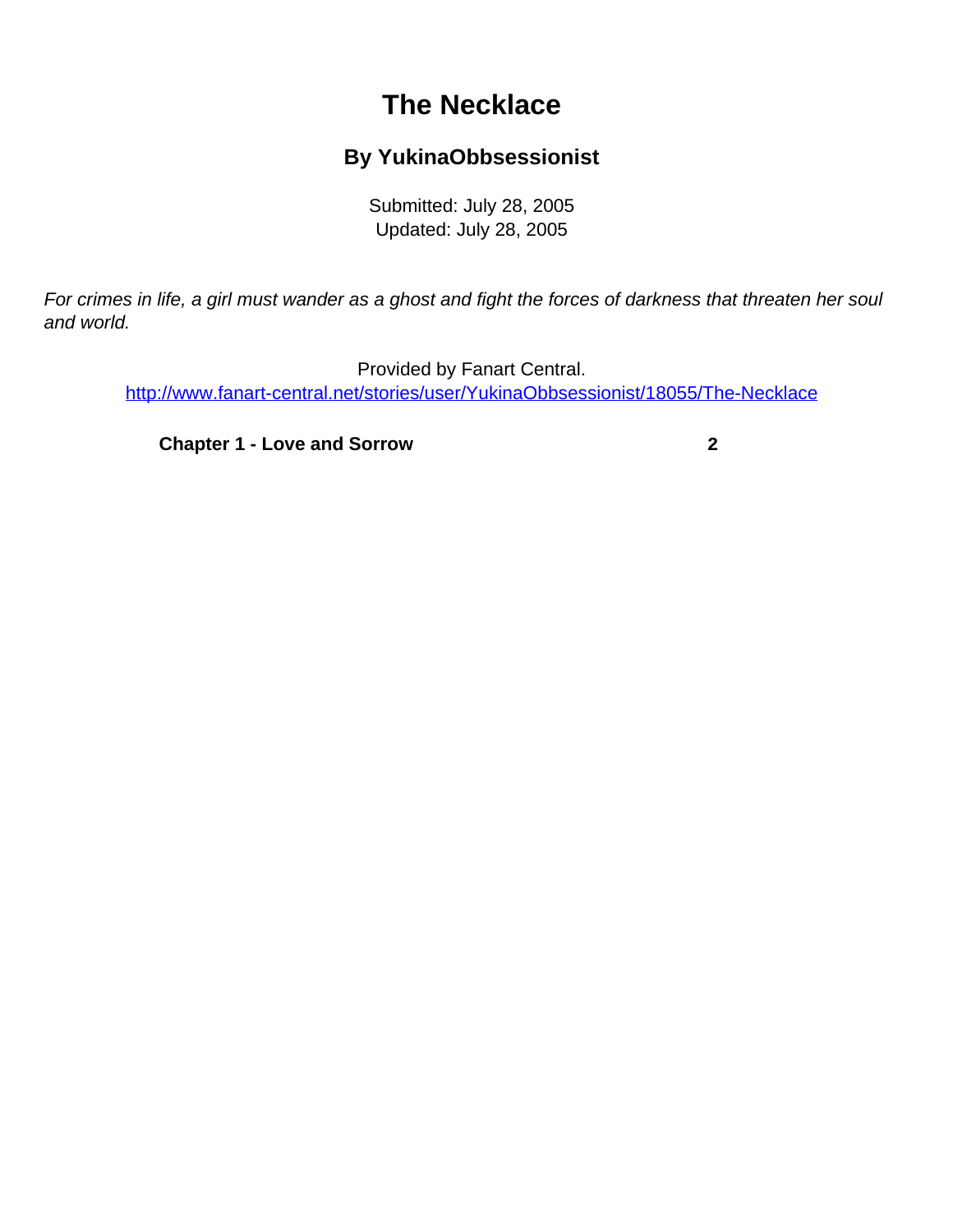## **The Necklace**

## **By YukinaObbsessionist**

Submitted: July 28, 2005 Updated: July 28, 2005

<span id="page-0-0"></span>For crimes in life, a girl must wander as a ghost and fight the forces of darkness that threaten her soul and world.

Provided by Fanart Central. [http://www.fanart-central.net/stories/user/YukinaObbsessionist/18055/The-Necklace](#page-0-0)

**[Chapter 1 - Love and Sorrow](#page-1-0) [2](#page-1-0)**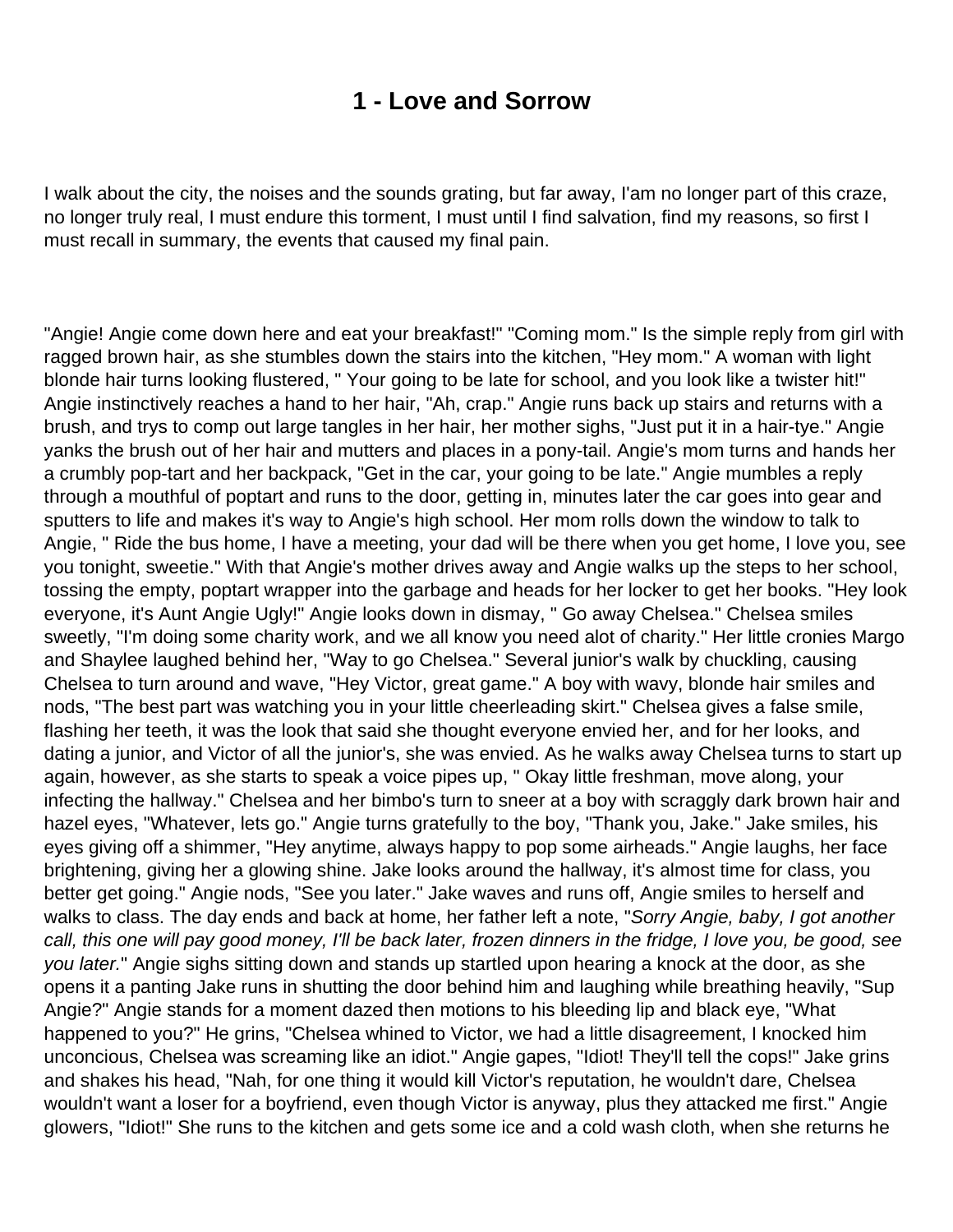## **1 - Love and Sorrow**

<span id="page-1-0"></span>I walk about the city, the noises and the sounds grating, but far away, I'am no longer part of this craze, no longer truly real, I must endure this torment, I must until I find salvation, find my reasons, so first I must recall in summary, the events that caused my final pain.

"Angie! Angie come down here and eat your breakfast!" "Coming mom." Is the simple reply from girl with ragged brown hair, as she stumbles down the stairs into the kitchen, "Hey mom." A woman with light blonde hair turns looking flustered, " Your going to be late for school, and you look like a twister hit!" Angie instinctively reaches a hand to her hair, "Ah, crap." Angie runs back up stairs and returns with a brush, and trys to comp out large tangles in her hair, her mother sighs, "Just put it in a hair-tye." Angie yanks the brush out of her hair and mutters and places in a pony-tail. Angie's mom turns and hands her a crumbly pop-tart and her backpack, "Get in the car, your going to be late." Angie mumbles a reply through a mouthful of poptart and runs to the door, getting in, minutes later the car goes into gear and sputters to life and makes it's way to Angie's high school. Her mom rolls down the window to talk to Angie, " Ride the bus home, I have a meeting, your dad will be there when you get home, I love you, see you tonight, sweetie." With that Angie's mother drives away and Angie walks up the steps to her school, tossing the empty, poptart wrapper into the garbage and heads for her locker to get her books. "Hey look everyone, it's Aunt Angie Ugly!" Angie looks down in dismay, " Go away Chelsea." Chelsea smiles sweetly, "I'm doing some charity work, and we all know you need alot of charity." Her little cronies Margo and Shaylee laughed behind her, "Way to go Chelsea." Several junior's walk by chuckling, causing Chelsea to turn around and wave, "Hey Victor, great game." A boy with wavy, blonde hair smiles and nods, "The best part was watching you in your little cheerleading skirt." Chelsea gives a false smile, flashing her teeth, it was the look that said she thought everyone envied her, and for her looks, and dating a junior, and Victor of all the junior's, she was envied. As he walks away Chelsea turns to start up again, however, as she starts to speak a voice pipes up, " Okay little freshman, move along, your infecting the hallway." Chelsea and her bimbo's turn to sneer at a boy with scraggly dark brown hair and hazel eyes, "Whatever, lets go." Angie turns gratefully to the boy, "Thank you, Jake." Jake smiles, his eyes giving off a shimmer, "Hey anytime, always happy to pop some airheads." Angie laughs, her face brightening, giving her a glowing shine. Jake looks around the hallway, it's almost time for class, you better get going." Angie nods, "See you later." Jake waves and runs off, Angie smiles to herself and walks to class. The day ends and back at home, her father left a note, "Sorry Angie, baby, I got another call, this one will pay good money, I'll be back later, frozen dinners in the fridge, I love you, be good, see you later." Angie sighs sitting down and stands up startled upon hearing a knock at the door, as she opens it a panting Jake runs in shutting the door behind him and laughing while breathing heavily, "Sup Angie?" Angie stands for a moment dazed then motions to his bleeding lip and black eye, "What happened to you?" He grins, "Chelsea whined to Victor, we had a little disagreement, I knocked him unconcious, Chelsea was screaming like an idiot." Angie gapes, "Idiot! They'll tell the cops!" Jake grins and shakes his head, "Nah, for one thing it would kill Victor's reputation, he wouldn't dare, Chelsea wouldn't want a loser for a boyfriend, even though Victor is anyway, plus they attacked me first." Angie glowers, "Idiot!" She runs to the kitchen and gets some ice and a cold wash cloth, when she returns he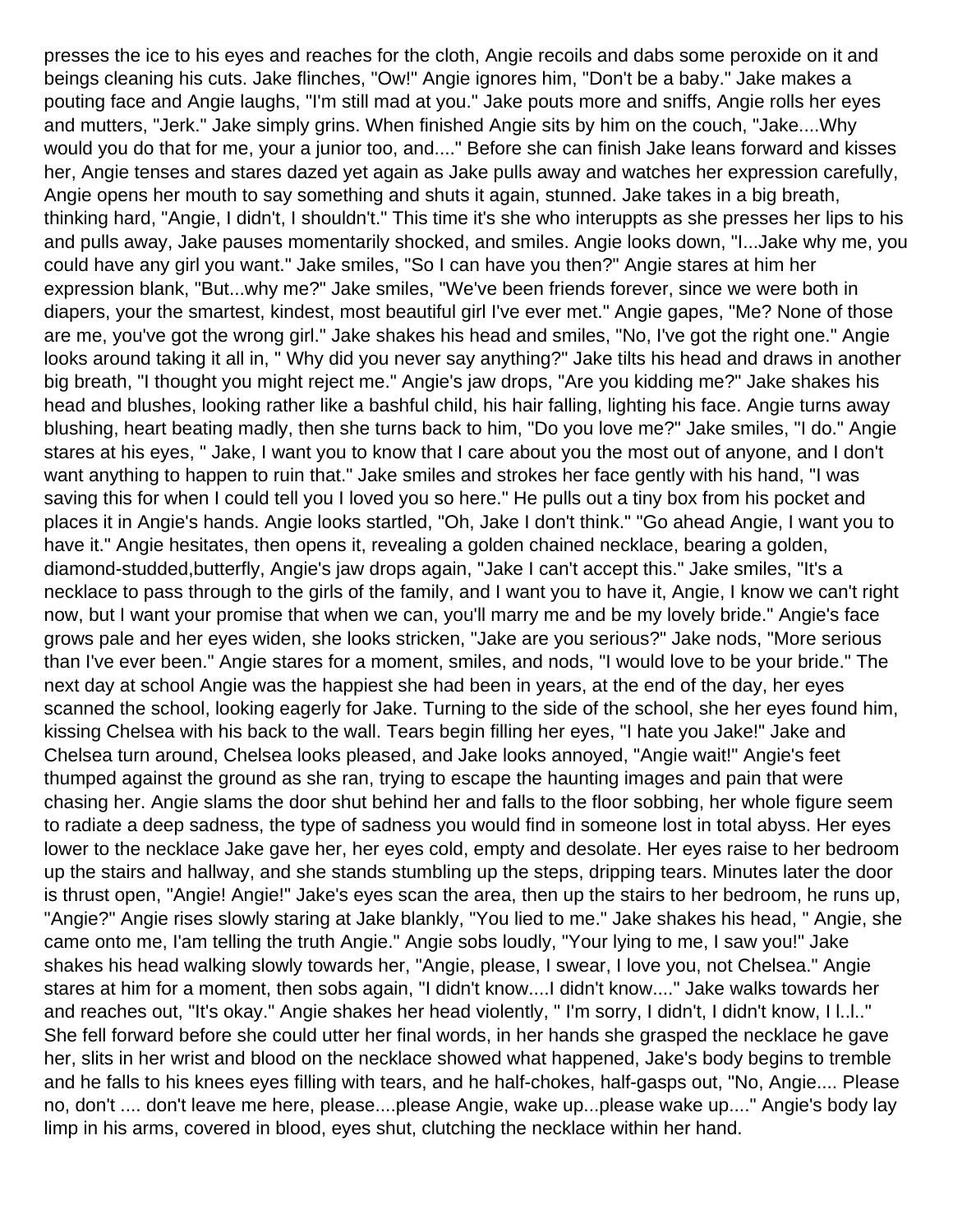presses the ice to his eyes and reaches for the cloth, Angie recoils and dabs some peroxide on it and beings cleaning his cuts. Jake flinches, "Ow!" Angie ignores him, "Don't be a baby." Jake makes a pouting face and Angie laughs, "I'm still mad at you." Jake pouts more and sniffs, Angie rolls her eyes and mutters, "Jerk." Jake simply grins. When finished Angie sits by him on the couch, "Jake....Why would you do that for me, your a junior too, and...." Before she can finish Jake leans forward and kisses her, Angie tenses and stares dazed yet again as Jake pulls away and watches her expression carefully, Angie opens her mouth to say something and shuts it again, stunned. Jake takes in a big breath, thinking hard, "Angie, I didn't, I shouldn't." This time it's she who interuppts as she presses her lips to his and pulls away, Jake pauses momentarily shocked, and smiles. Angie looks down, "I...Jake why me, you could have any girl you want." Jake smiles, "So I can have you then?" Angie stares at him her expression blank, "But...why me?" Jake smiles, "We've been friends forever, since we were both in diapers, your the smartest, kindest, most beautiful girl I've ever met." Angie gapes, "Me? None of those are me, you've got the wrong girl." Jake shakes his head and smiles, "No, I've got the right one." Angie looks around taking it all in, " Why did you never say anything?" Jake tilts his head and draws in another big breath, "I thought you might reject me." Angie's jaw drops, "Are you kidding me?" Jake shakes his head and blushes, looking rather like a bashful child, his hair falling, lighting his face. Angie turns away blushing, heart beating madly, then she turns back to him, "Do you love me?" Jake smiles, "I do." Angie stares at his eyes, " Jake, I want you to know that I care about you the most out of anyone, and I don't want anything to happen to ruin that." Jake smiles and strokes her face gently with his hand, "I was saving this for when I could tell you I loved you so here." He pulls out a tiny box from his pocket and places it in Angie's hands. Angie looks startled, "Oh, Jake I don't think." "Go ahead Angie, I want you to have it." Angie hesitates, then opens it, revealing a golden chained necklace, bearing a golden, diamond-studded,butterfly, Angie's jaw drops again, "Jake I can't accept this." Jake smiles, "It's a necklace to pass through to the girls of the family, and I want you to have it, Angie, I know we can't right now, but I want your promise that when we can, you'll marry me and be my lovely bride." Angie's face grows pale and her eyes widen, she looks stricken, "Jake are you serious?" Jake nods, "More serious than I've ever been." Angie stares for a moment, smiles, and nods, "I would love to be your bride." The next day at school Angie was the happiest she had been in years, at the end of the day, her eyes scanned the school, looking eagerly for Jake. Turning to the side of the school, she her eyes found him, kissing Chelsea with his back to the wall. Tears begin filling her eyes, "I hate you Jake!" Jake and Chelsea turn around, Chelsea looks pleased, and Jake looks annoyed, "Angie wait!" Angie's feet thumped against the ground as she ran, trying to escape the haunting images and pain that were chasing her. Angie slams the door shut behind her and falls to the floor sobbing, her whole figure seem to radiate a deep sadness, the type of sadness you would find in someone lost in total abyss. Her eyes lower to the necklace Jake gave her, her eyes cold, empty and desolate. Her eyes raise to her bedroom up the stairs and hallway, and she stands stumbling up the steps, dripping tears. Minutes later the door is thrust open, "Angie! Angie!" Jake's eyes scan the area, then up the stairs to her bedroom, he runs up, "Angie?" Angie rises slowly staring at Jake blankly, "You lied to me." Jake shakes his head, " Angie, she came onto me, I'am telling the truth Angie." Angie sobs loudly, "Your lying to me, I saw you!" Jake shakes his head walking slowly towards her, "Angie, please, I swear, I love you, not Chelsea." Angie stares at him for a moment, then sobs again, "I didn't know....I didn't know...." Jake walks towards her and reaches out, "It's okay." Angie shakes her head violently, " I'm sorry, I didn't, I didn't know, I l..l.." She fell forward before she could utter her final words, in her hands she grasped the necklace he gave her, slits in her wrist and blood on the necklace showed what happened, Jake's body begins to tremble and he falls to his knees eyes filling with tears, and he half-chokes, half-gasps out, "No, Angie.... Please no, don't .... don't leave me here, please....please Angie, wake up...please wake up...." Angie's body lay limp in his arms, covered in blood, eyes shut, clutching the necklace within her hand.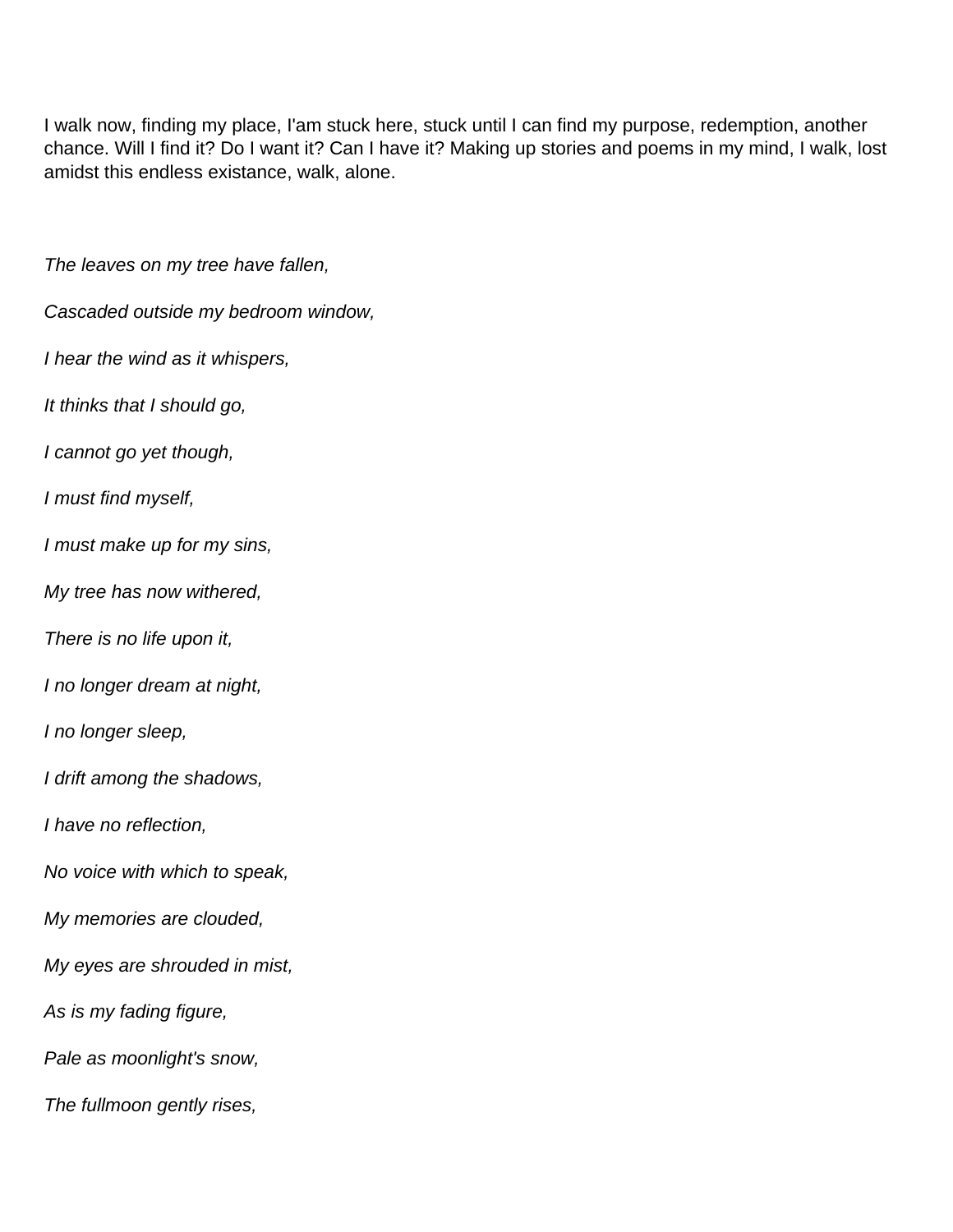I walk now, finding my place, I'am stuck here, stuck until I can find my purpose, redemption, another chance. Will I find it? Do I want it? Can I have it? Making up stories and poems in my mind, I walk, lost amidst this endless existance, walk, alone.

The leaves on my tree have fallen, Cascaded outside my bedroom window, I hear the wind as it whispers, It thinks that I should go, I cannot go yet though, I must find myself, I must make up for my sins, My tree has now withered, There is no life upon it, I no longer dream at night, I no longer sleep, I drift among the shadows, I have no reflection, No voice with which to speak, My memories are clouded, My eyes are shrouded in mist, As is my fading figure, Pale as moonlight's snow, The fullmoon gently rises,